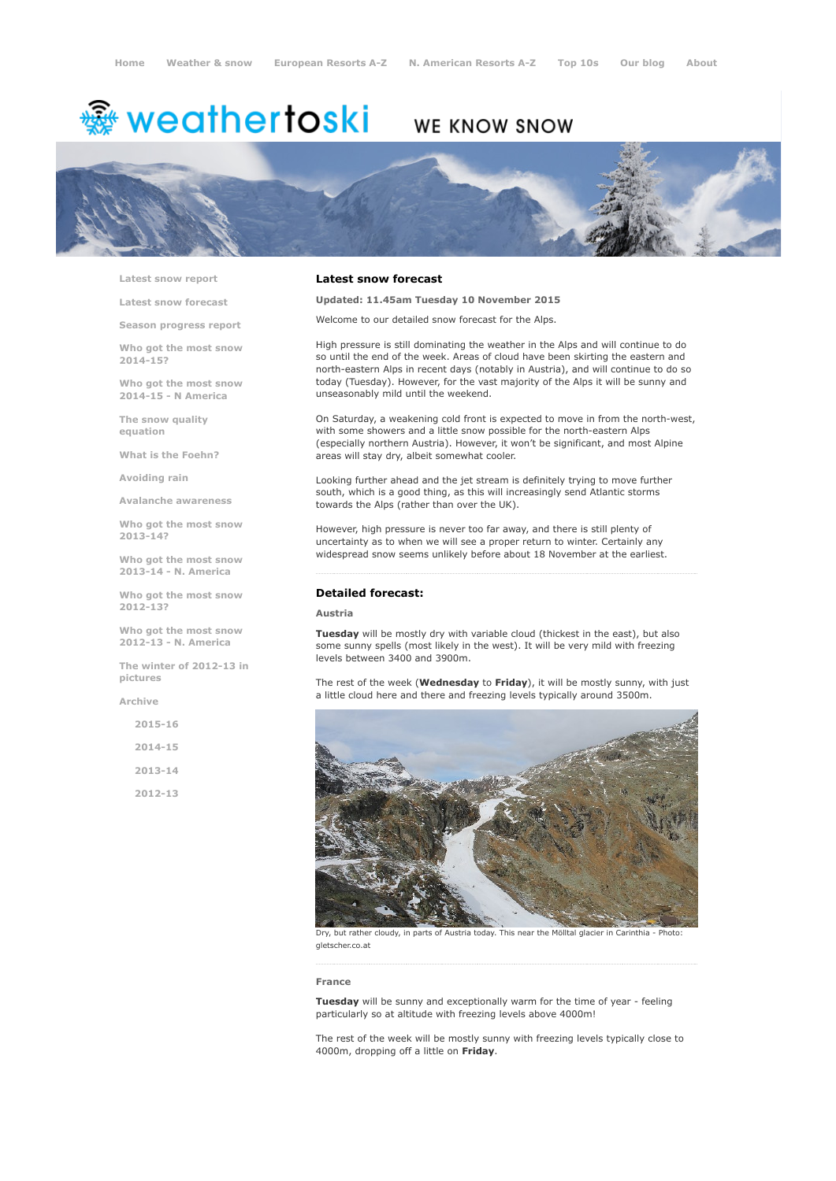# <del>鑾</del> weathertoski

# WE KNOW SNOW



Latest snow [report](http://www.weathertoski.co.uk/weather-snow/latest-snow-report/)

Latest snow [forecast](http://www.weathertoski.co.uk/weather-snow/latest-snow-forecast/)

Season [progress](http://www.weathertoski.co.uk/weather-snow/season-progress-report/) report

Who got the most snow 2014-15?

Who got the most snow 2014-15 - N America

The snow quality [equation](http://www.weathertoski.co.uk/weather-snow/the-snow-quality-equation/)

What is the [Foehn?](http://www.weathertoski.co.uk/weather-snow/what-is-the-foehn/)

[Avoiding](http://www.weathertoski.co.uk/weather-snow/avoiding-rain/) rain

Avalanche [awareness](http://www.weathertoski.co.uk/weather-snow/avalanche-awareness/)

Who got the most snow 2013-14?

Who got the most snow 2013-14 - N. America

Who got the most snow 2012-13?

Who got the most snow 2012-13 - N. America

The winter of 2012-13 in pictures

[Archive](http://www.weathertoski.co.uk/weather-snow/archive/)

2015-16 2014-15 2013-14 2012-13

# Latest snow forecast

Updated: 11.45am Tuesday 10 November 2015

Welcome to our detailed snow forecast for the Alps.

High pressure is still dominating the weather in the Alps and will continue to do so until the end of the week. Areas of cloud have been skirting the eastern and north-eastern Alps in recent days (notably in Austria), and will continue to do so today (Tuesday). However, for the vast majority of the Alps it will be sunny and unseasonably mild until the weekend.

On Saturday, a weakening cold front is expected to move in from the north-west, with some showers and a little snow possible for the north-eastern Alps (especially northern Austria). However, it won't be significant, and most Alpine areas will stay dry, albeit somewhat cooler.

Looking further ahead and the jet stream is definitely trying to move further south, which is a good thing, as this will increasingly send Atlantic storms towards the Alps (rather than over the UK).

However, high pressure is never too far away, and there is still plenty of uncertainty as to when we will see a proper return to winter. Certainly any widespread snow seems unlikely before about 18 November at the earliest.

#### Detailed forecast:

### Austria

Tuesday will be mostly dry with variable cloud (thickest in the east), but also some sunny spells (most likely in the west). It will be very mild with freezing levels between 3400 and 3900m.

The rest of the week (Wednesday to Friday), it will be mostly sunny, with just a little cloud here and there and freezing levels typically around 3500m.



Dry, but rather cloudy, in parts of Austria today. This near the Mölltal glacier in Carinthia - Photo: gletscher.co.at

#### France

Tuesday will be sunny and exceptionally warm for the time of year - feeling particularly so at altitude with freezing levels above 4000m!

The rest of the week will be mostly sunny with freezing levels typically close to 4000m, dropping off a little on Friday.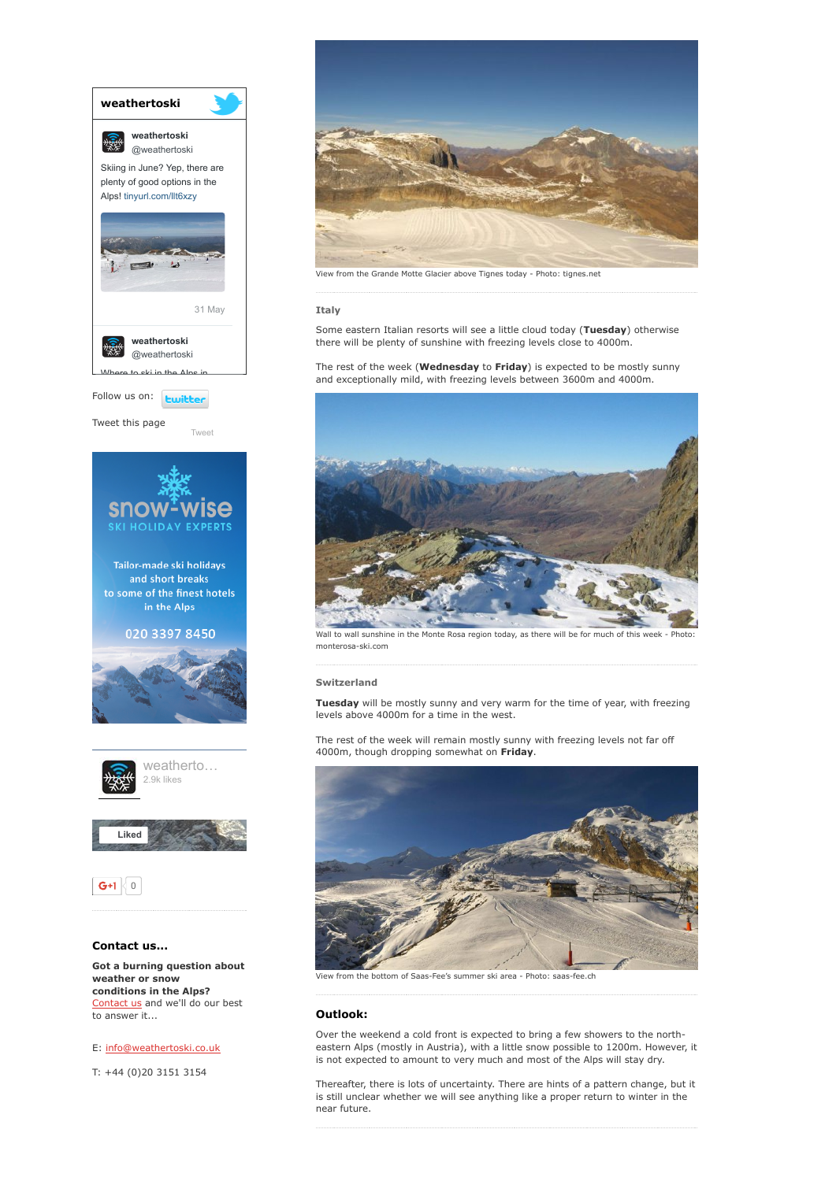

Got a burning question about weather or snow conditions in the Alps? [Contact](http://www.weathertoski.co.uk/about-1/contact-us/) us and we'll do our best to answer it...

# E: [info@weathertoski.co.uk](mailto:fraser@weathertoski.co.uk)

T: +44 (0)20 3151 3154



View from the Grande Motte Glacier above Tignes today Photo: tignes.net

#### Italy

Some eastern Italian resorts will see a little cloud today (Tuesday) otherwise there will be plenty of sunshine with freezing levels close to 4000m.

The rest of the week (Wednesday to Friday) is expected to be mostly sunny and exceptionally mild, with freezing levels between 3600m and 4000m.



Wall to wall sunshine in the Monte Rosa region today, as there will be for much of this week - Photo monterosa-ski.com

#### Switzerland

Tuesday will be mostly sunny and very warm for the time of year, with freezing levels above 4000m for a time in the west.

The rest of the week will remain mostly sunny with freezing levels not far off 4000m, though dropping somewhat on Friday.



View from the bottom of Saas-Fee's summer ski area - Photo: saas-fee.ch

# Outlook:

Over the weekend a cold front is expected to bring a few showers to the northeastern Alps (mostly in Austria), with a little snow possible to 1200m. However, it is not expected to amount to very much and most of the Alps will stay dry.

Thereafter, there is lots of uncertainty. There are hints of a pattern change, but it is still unclear whether we will see anything like a proper return to winter in the near future.